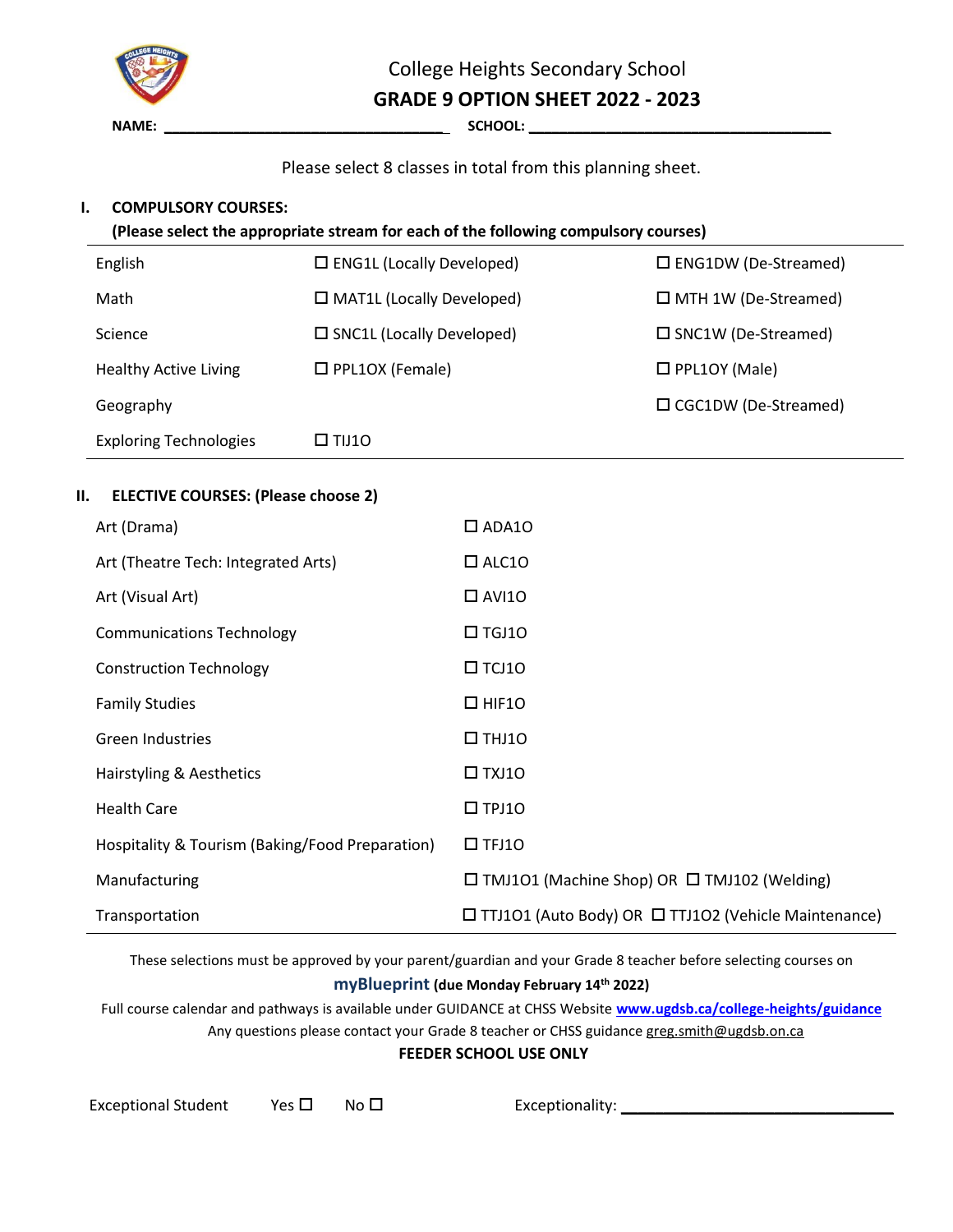

College Heights Secondary School

**GRADE 9 OPTION SHEET 2022 - 2023**

## Please select 8 classes in total from this planning sheet.

#### **I. COMPULSORY COURSES:**

**(Please select the appropriate stream for each of the following compulsory courses)**

| English                       | $\Box$ ENG1L (Locally Developed)    | $\square$ ENG1DW (De-Streamed) |  |
|-------------------------------|-------------------------------------|--------------------------------|--|
| Math                          | $\Box$ MAT1L (Locally Developed)    | $\Box$ MTH 1W (De-Streamed)    |  |
| Science                       | $\square$ SNC1L (Locally Developed) | $\square$ SNC1W (De-Streamed)  |  |
| <b>Healthy Active Living</b>  | $\Box$ PPL1OX (Female)              | $\Box$ PPL1OY (Male)           |  |
| Geography                     |                                     | $\Box$ CGC1DW (De-Streamed)    |  |
| <b>Exploring Technologies</b> | $\square$ TIJ10                     |                                |  |

### **II. ELECTIVE COURSES: (Please choose 2)**

| Art (Drama)                                     | $\Box$ ADA10                                                     |
|-------------------------------------------------|------------------------------------------------------------------|
| Art (Theatre Tech: Integrated Arts)             | $\Box$ ALC10                                                     |
| Art (Visual Art)                                | $\Box$ AVI10                                                     |
| <b>Communications Technology</b>                | $\square$ TGJ10                                                  |
| <b>Construction Technology</b>                  | $\square$ TCJ10                                                  |
| <b>Family Studies</b>                           | $\Box$ HIF10                                                     |
| <b>Green Industries</b>                         | $\Box$ THJ10                                                     |
| Hairstyling & Aesthetics                        | $\Box$ TXJ10                                                     |
| <b>Health Care</b>                              | $\square$ TPJ10                                                  |
| Hospitality & Tourism (Baking/Food Preparation) | $\square$ TFJ10                                                  |
| Manufacturing                                   | $\Box$ TMJ101 (Machine Shop) OR $\Box$ TMJ102 (Welding)          |
| Transportation                                  | $\Box$ TTJ101 (Auto Body) OR $\Box$ TTJ102 (Vehicle Maintenance) |

These selections must be approved by your parent/guardian and your Grade 8 teacher before selecting courses on **myBlueprint (due Monday February 14 th 2022)**

Full course calendar and pathways is available under GUIDANCE at CHSS Website **[www.ugdsb.ca/college-heights/guidance](http://www.ugdsb.ca/college-heights/guidance/)** Any questions please contact your Grade 8 teacher or CHSS guidance greg.smith@ugdsb.on.ca

#### **FEEDER SCHOOL USE ONLY**

| <b>Exceptional Student</b> | Yes $\Box$ | No |
|----------------------------|------------|----|
|                            |            |    |

Exceptional Student Yes No Exceptionality: \_\_\_\_\_\_\_\_\_\_\_\_\_\_\_\_\_\_\_\_\_\_\_\_\_\_\_\_\_\_\_\_